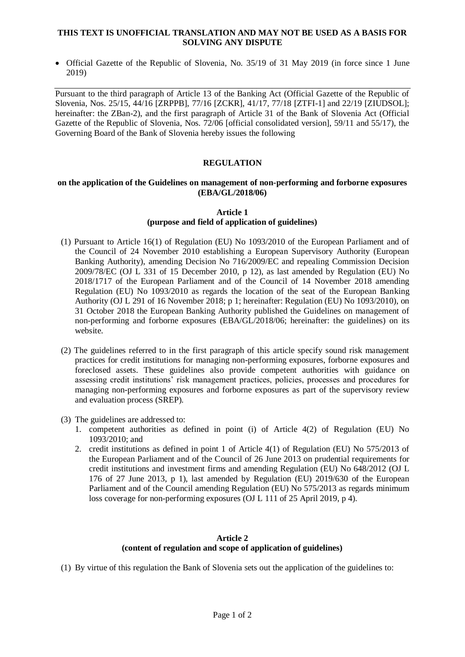### **THIS TEXT IS UNOFFICIAL TRANSLATION AND MAY NOT BE USED AS A BASIS FOR SOLVING ANY DISPUTE**

• Official Gazette of the Republic of Slovenia, No. 35/19 of 31 May 2019 (in force since 1 June 2019)

Pursuant to the third paragraph of Article 13 of the Banking Act (Official Gazette of the Republic of Slovenia, Nos. 25/15, 44/16 [ZRPPB], 77/16 [ZCKR], 41/17, 77/18 [ZTFI-1] and 22/19 [ZIUDSOL]; hereinafter: the ZBan-2), and the first paragraph of Article 31 of the Bank of Slovenia Act (Official Gazette of the Republic of Slovenia, Nos. 72/06 [official consolidated version], 59/11 and 55/17), the Governing Board of the Bank of Slovenia hereby issues the following

## **REGULATION**

#### **on the application of the Guidelines on management of non-performing and forborne exposures (EBA/GL/2018/06)**

## **Article 1 (purpose and field of application of guidelines)**

- (1) Pursuant to Article 16(1) of Regulation (EU) No 1093/2010 of the European Parliament and of the Council of 24 November 2010 establishing a European Supervisory Authority (European Banking Authority), amending Decision No 716/2009/EC and repealing Commission Decision 2009/78/EC (OJ L 331 of 15 December 2010, p 12), as last amended by Regulation (EU) No 2018/1717 of the European Parliament and of the Council of 14 November 2018 amending Regulation (EU) No 1093/2010 as regards the location of the seat of the European Banking Authority (OJ L 291 of 16 November 2018; p 1; hereinafter: Regulation (EU) No 1093/2010), on 31 October 2018 the European Banking Authority published the Guidelines on management of non-performing and forborne exposures (EBA/GL/2018/06; hereinafter: the guidelines) on its website.
- (2) The guidelines referred to in the first paragraph of this article specify sound risk management practices for credit institutions for managing non-performing exposures, forborne exposures and foreclosed assets. These guidelines also provide competent authorities with guidance on assessing credit institutions' risk management practices, policies, processes and procedures for managing non-performing exposures and forborne exposures as part of the supervisory review and evaluation process (SREP).
- (3) The guidelines are addressed to:
	- 1. competent authorities as defined in point (i) of Article 4(2) of Regulation (EU) No 1093/2010; and
	- 2. credit institutions as defined in point 1 of Article 4(1) of Regulation (EU) No 575/2013 of the European Parliament and of the Council of 26 June 2013 on prudential requirements for credit institutions and investment firms and amending Regulation (EU) No 648/2012 (OJ L 176 of 27 June 2013, p 1), last amended by Regulation (EU) 2019/630 of the European Parliament and of the Council amending Regulation (EU) No 575/2013 as regards minimum loss coverage for non-performing exposures (OJ L 111 of 25 April 2019, p 4).

# **Article 2 (content of regulation and scope of application of guidelines)**

(1) By virtue of this regulation the Bank of Slovenia sets out the application of the guidelines to: